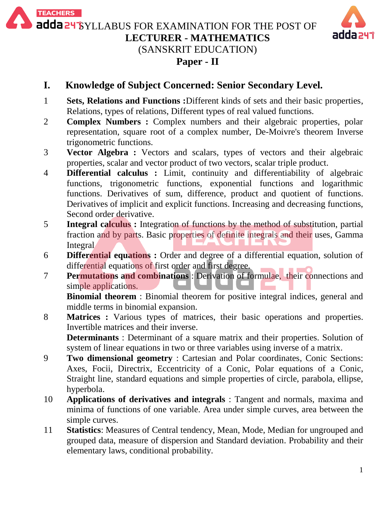adda 24 SYLLABUS FOR EXAMINATION FOR THE POST OF **LECTURER - MATHEMATICS**

**TEACHERS** 



(SANSKRIT EDUCATION)

### **Paper - II**

# **I. Knowledge of Subject Concerned: Senior Secondary Level.**

- 1 **Sets, Relations and Functions :**Different kinds of sets and their basic properties, Relations, types of relations, Different types of real valued functions.
- 2 **Complex Numbers :** Complex numbers and their algebraic properties, polar representation, square root of a complex number, De-Moivre's theorem Inverse trigonometric functions.
- 3 **Vector Algebra :** Vectors and scalars, types of vectors and their algebraic properties, scalar and vector product of two vectors, scalar triple product.
- 4 **Differential calculus :** Limit, continuity and differentiability of algebraic functions, trigonometric functions, exponential functions and logarithmic functions. Derivatives of sum, difference, product and quotient of functions. Derivatives of implicit and explicit functions. Increasing and decreasing functions, Second order derivative.
- 5 **Integral calculus :** Integration of functions by the method of substitution, partial fraction and by parts. Basic properties of definite integrals and their uses, Gamma Integral
- 6 **Differential equations :** Order and degree of a differential equation, solution of differential equations of first order and first degree.
- 7 **Permutations and combinations** : Derivation of formulae, their connections and simple applications.

**Binomial theorem** : Binomial theorem for positive integral indices, general and middle terms in binomial expansion.

8 **Matrices :** Various types of matrices, their basic operations and properties. Invertible matrices and their inverse. **Determinants** : Determinant of a square matrix and their properties. Solution of

system of linear equations in two or three variables using inverse of a matrix.

- 9 **Two dimensional geometry** : Cartesian and Polar coordinates, Conic Sections: Axes, Focii, Directrix, Eccentricity of a Conic, Polar equations of a Conic, Straight line, standard equations and simple properties of circle, parabola, ellipse, hyperbola.
- 10 **Applications of derivatives and integrals** : Tangent and normals, maxima and minima of functions of one variable. Area under simple curves, area between the simple curves.
- 11 **Statistics**: Measures of Central tendency, Mean, Mode, Median for ungrouped and grouped data, measure of dispersion and Standard deviation. Probability and their elementary laws, conditional probability.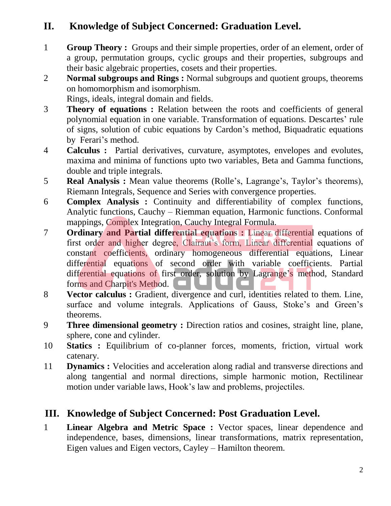# **II. Knowledge of Subject Concerned: Graduation Level.**

- 1 **Group Theory :** Groups and their simple properties, order of an element, order of a group, permutation groups, cyclic groups and their properties, subgroups and their basic algebraic properties, cosets and their properties.
- 2 **Normal subgroups and Rings :** Normal subgroups and quotient groups, theorems on homomorphism and isomorphism.

Rings, ideals, integral domain and fields.

- 3 **Theory of equations :** Relation between the roots and coefficients of general polynomial equation in one variable. Transformation of equations. Descartes' rule of signs, solution of cubic equations by Cardon's method, Biquadratic equations by Ferari's method.
- 4 **Calculus :** Partial derivatives, curvature, asymptotes, envelopes and evolutes, maxima and minima of functions upto two variables, Beta and Gamma functions, double and triple integrals.
- 5 **Real Analysis :** Mean value theorems (Rolle's, Lagrange's, Taylor's theorems), Riemann Integrals, Sequence and Series with convergence properties.
- 6 **Complex Analysis :** Continuity and differentiability of complex functions, Analytic functions, Cauchy – Riemman equation, Harmonic functions. Conformal mappings, Complex Integration, Cauchy Integral Formula.
- 7 **Ordinary and Partial differential equations :** Linear differential equations of first order and higher degree, Clairaut's form, Linear differential equations of constant coefficients, ordinary homogeneous differential equations, Linear differential equations of second order with variable coefficients. Partial differential equations of first order, solution by Lagrange's method, Standard forms and Charpit's Method.
- 8 **Vector calculus :** Gradient, divergence and curl, identities related to them. Line, surface and volume integrals. Applications of Gauss, Stoke's and Green's theorems.
- 9 **Three dimensional geometry :** Direction ratios and cosines, straight line, plane, sphere, cone and cylinder.
- 10 **Statics :** Equilibrium of co-planner forces, moments, friction, virtual work catenary.
- 11 **Dynamics :** Velocities and acceleration along radial and transverse directions and along tangential and normal directions, simple harmonic motion, Rectilinear motion under variable laws, Hook's law and problems, projectiles.

## **III. Knowledge of Subject Concerned: Post Graduation Level.**

1 **Linear Algebra and Metric Space :** Vector spaces, linear dependence and independence, bases, dimensions, linear transformations, matrix representation, Eigen values and Eigen vectors, Cayley – Hamilton theorem.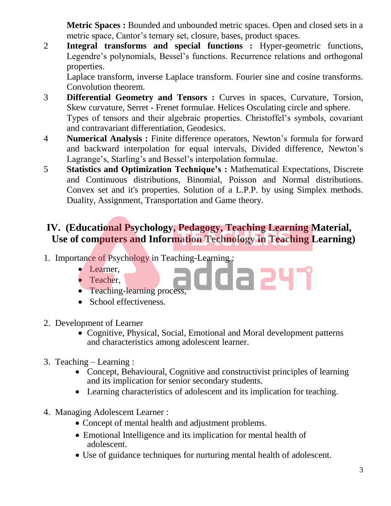**Metric Spaces :** Bounded and unbounded metric spaces. Open and closed sets in a metric space, Cantor's ternary set, closure, bases, product spaces.

2 **Integral transforms and special functions :** Hyper-geometric functions, Legendre's polynomials, Bessel's functions. Recurrence relations and orthogonal properties.

Laplace transform, inverse Laplace transform. Fourier sine and cosine transforms. Convolution theorem.

- 3 **Differential Geometry and Tensors :** Curves in spaces, Curvature, Torsion, Skew curvature, Serret - Frenet formulae. Helices Osculating circle and sphere. Types of tensors and their algebraic properties. Christoffel's symbols, covariant and contravariant differentiation, Geodesics.
- 4 **Numerical Analysis :** Finite difference operators, Newton's formula for forward and backward interpolation for equal intervals, Divided difference, Newton's Lagrange's, Starling's and Bessel's interpolation formulae.
- 5 **Statistics and Optimization Technique's :** Mathematical Expectations, Discrete and Continuous distributions, Binomial, Poisson and Normal distributions. Convex set and it's properties. Solution of a L.P.P. by using Simplex methods. Duality, Assignment, Transportation and Game theory.

## **IV. (Educational Psychology, Pedagogy, Teaching Learning Material, Use of computers and Information Technology in Teaching Learning)**

- 1. Importance of Psychology in Teaching-Learning :
	- Learner,
	- Teacher,
	- Teaching-learning process.
	- School effectiveness.
- 2. Development of Learner
	- Cognitive, Physical, Social, Emotional and Moral development patterns and characteristics among adolescent learner.

dda 241

- 3. Teaching Learning :
	- Concept, Behavioural, Cognitive and constructivist principles of learning and its implication for senior secondary students.
	- Learning characteristics of adolescent and its implication for teaching.
- 4. Managing Adolescent Learner :
	- Concept of mental health and adjustment problems.
	- Emotional Intelligence and its implication for mental health of adolescent.
	- Use of guidance techniques for nurturing mental health of adolescent.